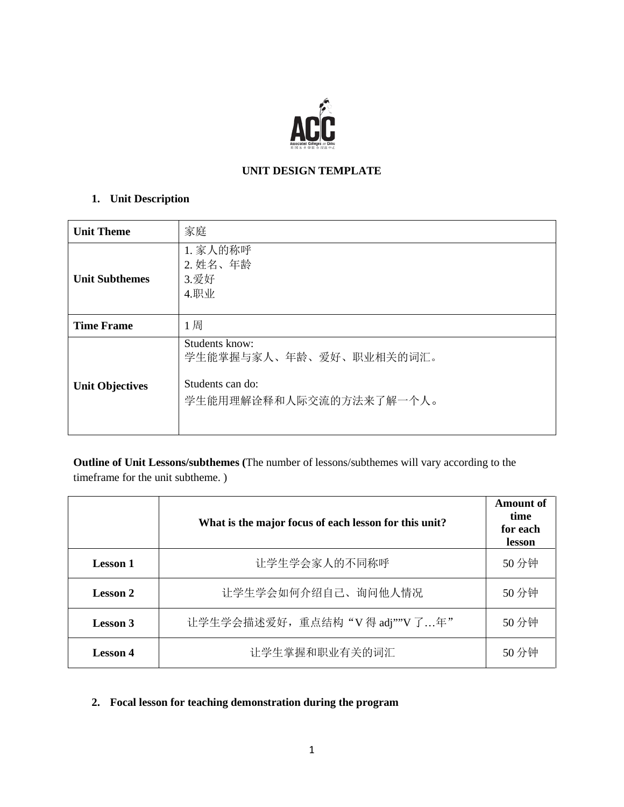

## **UNIT DESIGN TEMPLATE**

# **1. Unit Description**

| <b>Unit Theme</b>      | 家庭                                                                                       |
|------------------------|------------------------------------------------------------------------------------------|
| <b>Unit Subthemes</b>  | 1. 家人的称呼<br>2. 姓名、年龄<br>3.爱好<br>4.职业                                                     |
| <b>Time Frame</b>      | 1周                                                                                       |
| <b>Unit Objectives</b> | Students know:<br>学生能掌握与家人、年龄、爱好、职业相关的词汇。<br>Students can do:<br>学生能用理解诠释和人际交流的方法来了解一个人。 |

**Outline of Unit Lessons/subthemes (**The number of lessons/subthemes will vary according to the timeframe for the unit subtheme. )

|                 | What is the major focus of each lesson for this unit? | Amount of<br>time<br>for each<br>lesson |
|-----------------|-------------------------------------------------------|-----------------------------------------|
| <b>Lesson 1</b> | 让学生学会家人的不同称呼                                          | 50分钟                                    |
| <b>Lesson 2</b> | 让学生学会如何介绍自己、询问他人情况                                    | 50分钟                                    |
| Lesson 3        | 让学生学会描述爱好, 重点结构 "V得 adj""V了年"                         | 50分钟                                    |
| <b>Lesson 4</b> | 让学生掌握和职业有关的词汇                                         | 50分钟                                    |

# **2. Focal lesson for teaching demonstration during the program**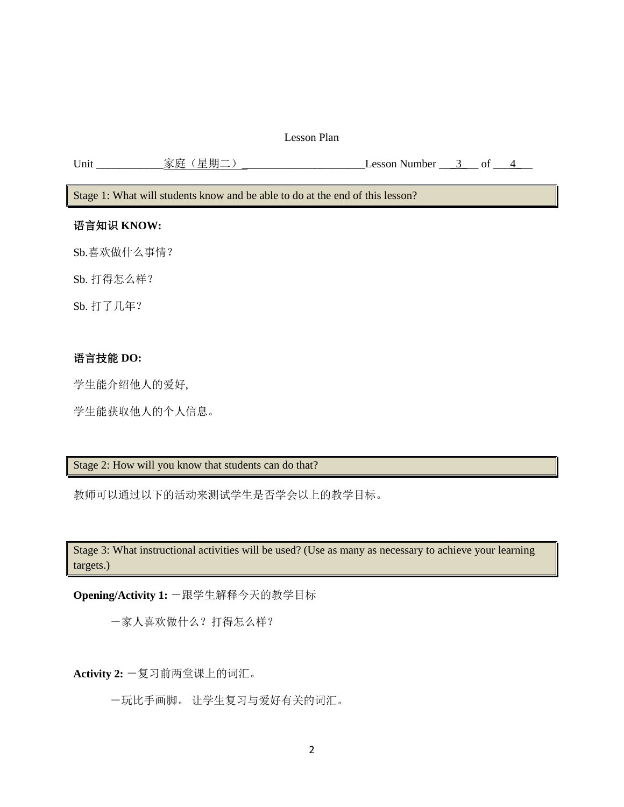### Lesson Plan

Unit 家庭(星期二) Lesson Number 2 \_\_\_ of 24

Stage 1: What will students know and be able to do at the end of this lesson?

### 语言知识 **KNOW:**

Sb.喜欢做什么事情?

Sb. 打得怎么样?

Sb. 打了几年?

### 语言技能 **DO:**

学生能介绍他人的爱好,

学生能获取他人的个人信息。

## Stage 2: How will you know that students can do that?

教师可以通过以下的活动来测试学生是否学会以上的教学目标。

Stage 3: What instructional activities will be used? (Use as many as necessary to achieve your learning targets.)

**Opening/Activity 1:** -跟学生解释今天的教学目标

-家人喜欢做什么?打得怎么样?

**Activity 2:** -复习前两堂课上的词汇。

-玩比手画脚。 让学生复习与爱好有关的词汇。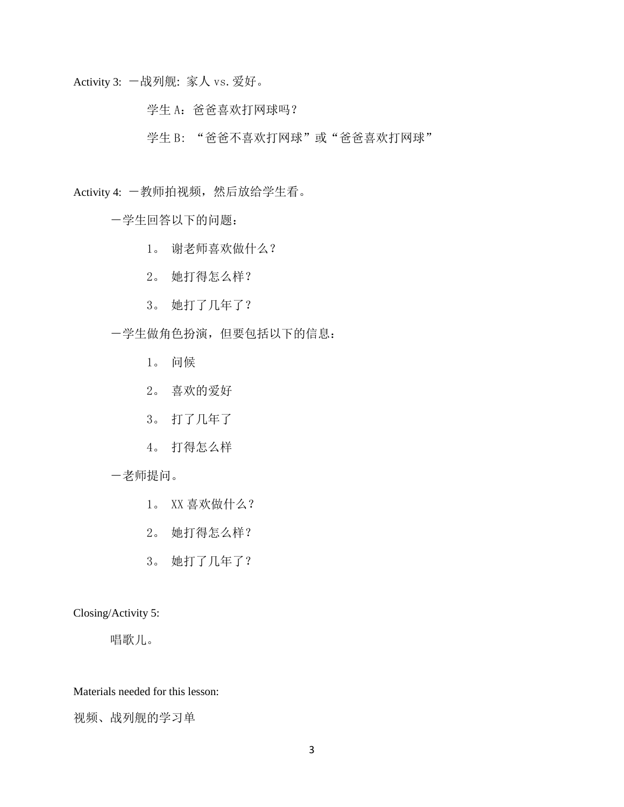Activity 3: 一战列舰: 家人 vs. 爱好。

学生 A: 爸爸喜欢打网球吗?

学生 B: "爸爸不喜欢打网球"或"爸爸喜欢打网球"

Activity 4: 一教师拍视频, 然后放给学生看。

-学生回答以下的问题:

- 1。 谢老师喜欢做什么?
- 2。 她打得怎么样?
- 3。 她打了几年了?
- -学生做角色扮演,但要包括以下的信息:
	- 1。 问候
	- 2。 喜欢的爱好
	- 3。 打了几年了
	- 4。 打得怎么样

## -老师提问。

- 1。 XX 喜欢做什么?
- 2。 她打得怎么样?
- 3。 她打了几年了?

Closing/Activity 5:

唱歌儿。

Materials needed for this lesson:

视频、战列舰的学习单